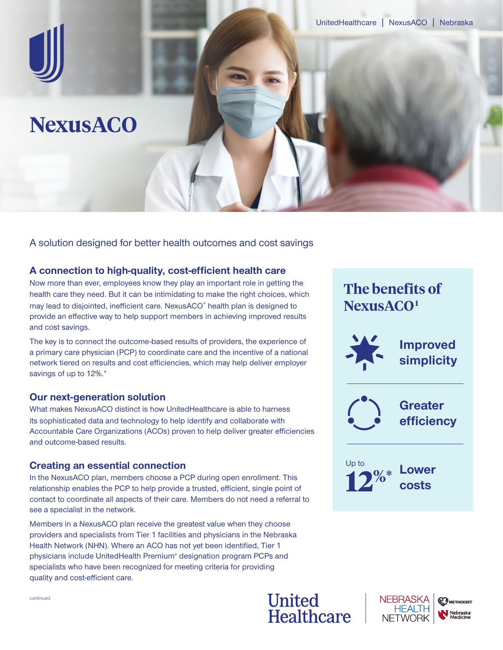

A solution designed for better health outcomes and cost savings

## **A connection to high-quality, cost-efficient health care**

Now more than ever, employees know they play an important role in getting the health care they need. But it can be intimidating to make the right choices, which may lead to disjointed, inefficient care. NexusACO® health plan is designed to provide an effective way to help support members in achieving improved results and cost savings.

The key is to connect the outcome-based results of providers, the experience of a primary care physician (PCP) to coordinate care and the incentive of a national network tiered on results and cost efficiencies, which may help deliver employer savings of up to 12%.\*

## **Our next-generation solution**

What makes NexusACO distinct is how UnitedHealthcare is able to harness its sophisticated data and technology to help identify and collaborate with Accountable Care Organizations (ACOs) proven to help deliver greater efficiencies and outcome-based results.

## **Creating an essential connection**

In the NexusACO plan, members choose a PCP during open enrollment. This relationship enables the PCP to help provide a trusted, efficient, single point of contact to coordinate all aspects of their care. Members do not need a referral to see a specialist in the network.

Members in a NexusACO plan receive the greatest value when they choose providers and specialists from Tier 1 facilities and physicians in the Nebraska Health Network (NHN). Where an ACO has not yet been identified, Tier 1 physicians include UnitedHealth Premium® designation program PCPs and specialists who have been recognized for meeting criteria for providing quality and cost-efficient care.

# **The benefits of NexusACO1 Improved simplicity Greater efficiency Lower costs** Up to **12%\***





continued